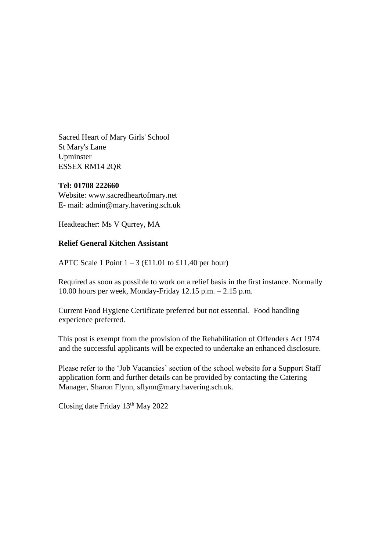Sacred Heart of Mary Girls' School St Mary's Lane Upminster ESSEX RM14 2QR

#### **Tel: 01708 222660**

Website: www.sacredheartofmary.net E- mail: admin@mary.havering.sch.uk

Headteacher: Ms V Qurrey, MA

#### **Relief General Kitchen Assistant**

APTC Scale 1 Point  $1 - 3$  (£11.01 to £11.40 per hour)

Required as soon as possible to work on a relief basis in the first instance. Normally 10.00 hours per week, Monday-Friday 12.15 p.m. – 2.15 p.m.

Current Food Hygiene Certificate preferred but not essential. Food handling experience preferred.

This post is exempt from the provision of the Rehabilitation of Offenders Act 1974 and the successful applicants will be expected to undertake an enhanced disclosure.

Please refer to the 'Job Vacancies' section of the school website for a Support Staff application form and further details can be provided by contacting the Catering Manager, Sharon Flynn, sflynn@mary.havering.sch.uk.

Closing date Friday 13<sup>th</sup> May 2022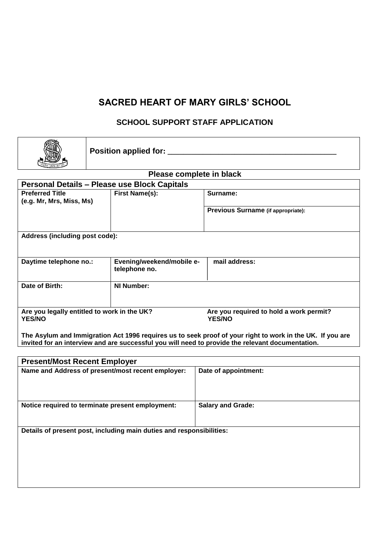#### **SACRED HEART OF MARY GIRLS' SCHOOL**

#### **SCHOOL SUPPORT STAFF APPLICATION**

|                                                     | Position applied for: _______               |                                                          |  |  |  |  |  |
|-----------------------------------------------------|---------------------------------------------|----------------------------------------------------------|--|--|--|--|--|
| Please complete in black                            |                                             |                                                          |  |  |  |  |  |
| <b>Personal Details - Please use Block Capitals</b> |                                             |                                                          |  |  |  |  |  |
| <b>Preferred Title</b>                              | <b>First Name(s):</b>                       | Surname:                                                 |  |  |  |  |  |
| (e.g. Mr, Mrs, Miss, Ms)                            |                                             |                                                          |  |  |  |  |  |
|                                                     |                                             | Previous Surname (if appropriate):                       |  |  |  |  |  |
|                                                     |                                             |                                                          |  |  |  |  |  |
| Address (including post code):                      |                                             |                                                          |  |  |  |  |  |
| Daytime telephone no.:                              | Evening/weekend/mobile e-<br>telephone no.  | mail address:                                            |  |  |  |  |  |
| Date of Birth:                                      | <b>NI Number:</b>                           |                                                          |  |  |  |  |  |
| <b>YES/NO</b>                                       | Are you legally entitled to work in the UK? | Are you required to hold a work permit?<br><b>YES/NO</b> |  |  |  |  |  |

**The Asylum and Immigration Act 1996 requires us to seek proof of your right to work in the UK. If you are invited for an interview and are successful you will need to provide the relevant documentation.** 

| <b>Present/Most Recent Employer</b>                                  |                          |
|----------------------------------------------------------------------|--------------------------|
| Name and Address of present/most recent employer:                    | Date of appointment:     |
| Notice required to terminate present employment:                     | <b>Salary and Grade:</b> |
| Details of present post, including main duties and responsibilities: |                          |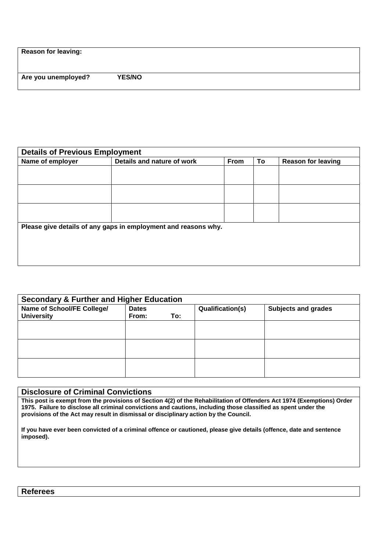**Reason for leaving:** 

**Are you unemployed? YES/NO** 

| <b>Details of Previous Employment</b> |                                                                |      |    |                           |
|---------------------------------------|----------------------------------------------------------------|------|----|---------------------------|
| Name of employer                      | Details and nature of work                                     | From | To | <b>Reason for leaving</b> |
|                                       |                                                                |      |    |                           |
|                                       |                                                                |      |    |                           |
|                                       |                                                                |      |    |                           |
|                                       |                                                                |      |    |                           |
|                                       |                                                                |      |    |                           |
|                                       |                                                                |      |    |                           |
|                                       | Please give details of any gaps in employment and reasons why. |      |    |                           |
|                                       |                                                                |      |    |                           |
|                                       |                                                                |      |    |                           |
|                                       |                                                                |      |    |                           |
|                                       |                                                                |      |    |                           |

| <b>Secondary &amp; Further and Higher Education</b> |                       |     |                         |                            |
|-----------------------------------------------------|-----------------------|-----|-------------------------|----------------------------|
| Name of School/FE College/<br><b>University</b>     | <b>Dates</b><br>From: | To: | <b>Qualification(s)</b> | <b>Subjects and grades</b> |
|                                                     |                       |     |                         |                            |
|                                                     |                       |     |                         |                            |
|                                                     |                       |     |                         |                            |
|                                                     |                       |     |                         |                            |
|                                                     |                       |     |                         |                            |

#### **Disclosure of Criminal Convictions**

**This post is exempt from the provisions of Section 4(2) of the Rehabilitation of Offenders Act 1974 (Exemptions) Order 1975. Failure to disclose all criminal convictions and cautions, including those classified as spent under the provisions of the Act may result in dismissal or disciplinary action by the Council.** 

**If you have ever been convicted of a criminal offence or cautioned, please give details (offence, date and sentence imposed).** 

**Referees**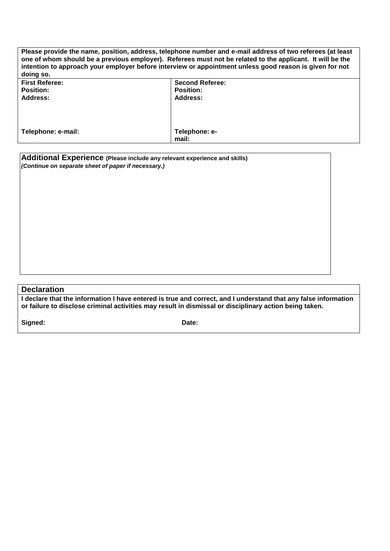| Please provide the name, position, address, telephone number and e-mail address of two referees (at least<br>one of whom should be a previous employer). Referees must not be related to the applicant. It will be the<br>intention to approach your employer before interview or appointment unless good reason is given for not<br>doing so. |                        |  |  |
|------------------------------------------------------------------------------------------------------------------------------------------------------------------------------------------------------------------------------------------------------------------------------------------------------------------------------------------------|------------------------|--|--|
| <b>First Referee:</b>                                                                                                                                                                                                                                                                                                                          | <b>Second Referee:</b> |  |  |
| <b>Position:</b>                                                                                                                                                                                                                                                                                                                               | <b>Position:</b>       |  |  |
| Address:                                                                                                                                                                                                                                                                                                                                       | Address:               |  |  |
|                                                                                                                                                                                                                                                                                                                                                |                        |  |  |
| Telephone: e-mail:                                                                                                                                                                                                                                                                                                                             | Telephone: e-          |  |  |
|                                                                                                                                                                                                                                                                                                                                                | mail:                  |  |  |

**Additional Experience (Please include any relevant experience and skills)**  *(Continue on separate sheet of paper if necessary.)*

#### **Declaration**

**I declare that the information I have entered is true and correct, and I understand that any false information or failure to disclose criminal activities may result in dismissal or disciplinary action being taken.** 

Signed: **Date: Date: Date:**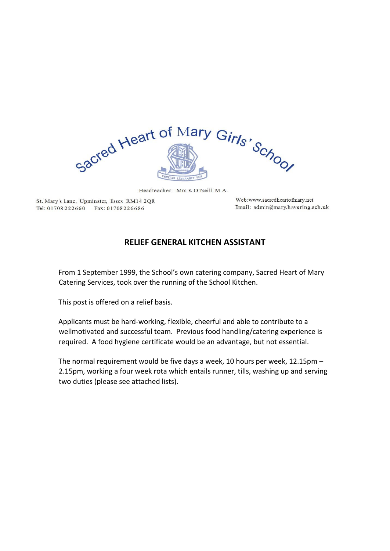

Headteacher: Mrs KO'Neill M.A.

St. Mary's Lane, Upminster, Essex RM14 2QR Tel: 01708222660 Fax: 01708226686

Web:www.sacredheartofmary.net Email: admin@mary.havering.sch.uk

#### **RELIEF GENERAL KITCHEN ASSISTANT**

From 1 September 1999, the School's own catering company, Sacred Heart of Mary Catering Services, took over the running of the School Kitchen.

This post is offered on a relief basis.

Applicants must be hard-working, flexible, cheerful and able to contribute to a wellmotivated and successful team. Previous food handling/catering experience is required. A food hygiene certificate would be an advantage, but not essential.

The normal requirement would be five days a week, 10 hours per week, 12.15pm – 2.15pm, working a four week rota which entails runner, tills, washing up and serving two duties (please see attached lists).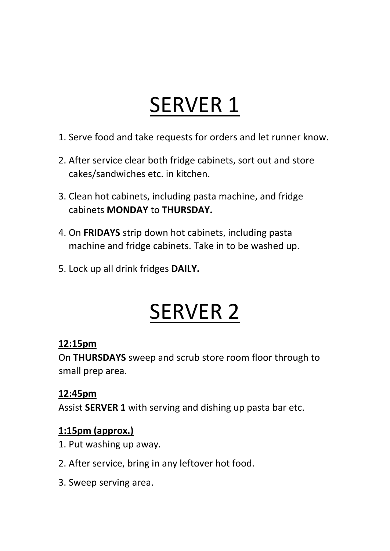## SERVER 1

- 1. Serve food and take requests for orders and let runner know.
- 2. After service clear both fridge cabinets, sort out and store cakes/sandwiches etc. in kitchen.
- 3. Clean hot cabinets, including pasta machine, and fridge cabinets **MONDAY** to **THURSDAY.**
- 4. On **FRIDAYS** strip down hot cabinets, including pasta machine and fridge cabinets. Take in to be washed up.
- 5. Lock up all drink fridges **DAILY.**

## SERVER 2

## **12:15pm**

On **THURSDAYS** sweep and scrub store room floor through to small prep area.

## **12:45pm**

Assist **SERVER 1** with serving and dishing up pasta bar etc.

## **1:15pm (approx.)**

- 1. Put washing up away.
- 2. After service, bring in any leftover hot food.
- 3. Sweep serving area.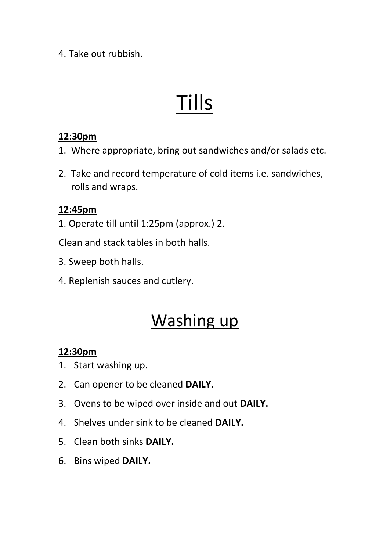4. Take out rubbish.

# Tills

#### **12:30pm**

- 1. Where appropriate, bring out sandwiches and/or salads etc.
- 2. Take and record temperature of cold items i.e. sandwiches, rolls and wraps.

#### **12:45pm**

1. Operate till until 1:25pm (approx.) 2.

Clean and stack tables in both halls.

- 3. Sweep both halls.
- 4. Replenish sauces and cutlery.

## Washing up

### **12:30pm**

- 1. Start washing up.
- 2. Can opener to be cleaned **DAILY.**
- 3. Ovens to be wiped over inside and out **DAILY.**
- 4. Shelves under sink to be cleaned **DAILY.**
- 5. Clean both sinks **DAILY.**
- 6. Bins wiped **DAILY.**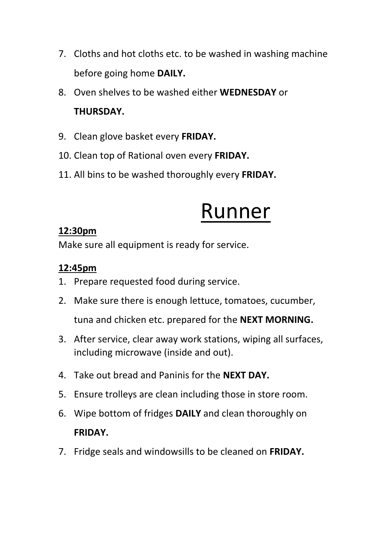- 7. Cloths and hot cloths etc. to be washed in washing machine before going home **DAILY.**
- 8. Oven shelves to be washed either **WEDNESDAY** or **THURSDAY.**
- 9. Clean glove basket every **FRIDAY.**
- 10. Clean top of Rational oven every **FRIDAY.**
- 11. All bins to be washed thoroughly every **FRIDAY.**

## Runner

### **12:30pm**

Make sure all equipment is ready for service.

## **12:45pm**

- 1. Prepare requested food during service.
- 2. Make sure there is enough lettuce, tomatoes, cucumber, tuna and chicken etc. prepared for the **NEXT MORNING.**
- 3. After service, clear away work stations, wiping all surfaces, including microwave (inside and out).
- 4. Take out bread and Paninis for the **NEXT DAY.**
- 5. Ensure trolleys are clean including those in store room.
- 6. Wipe bottom of fridges **DAILY** and clean thoroughly on **FRIDAY.**
- 7. Fridge seals and windowsills to be cleaned on **FRIDAY.**